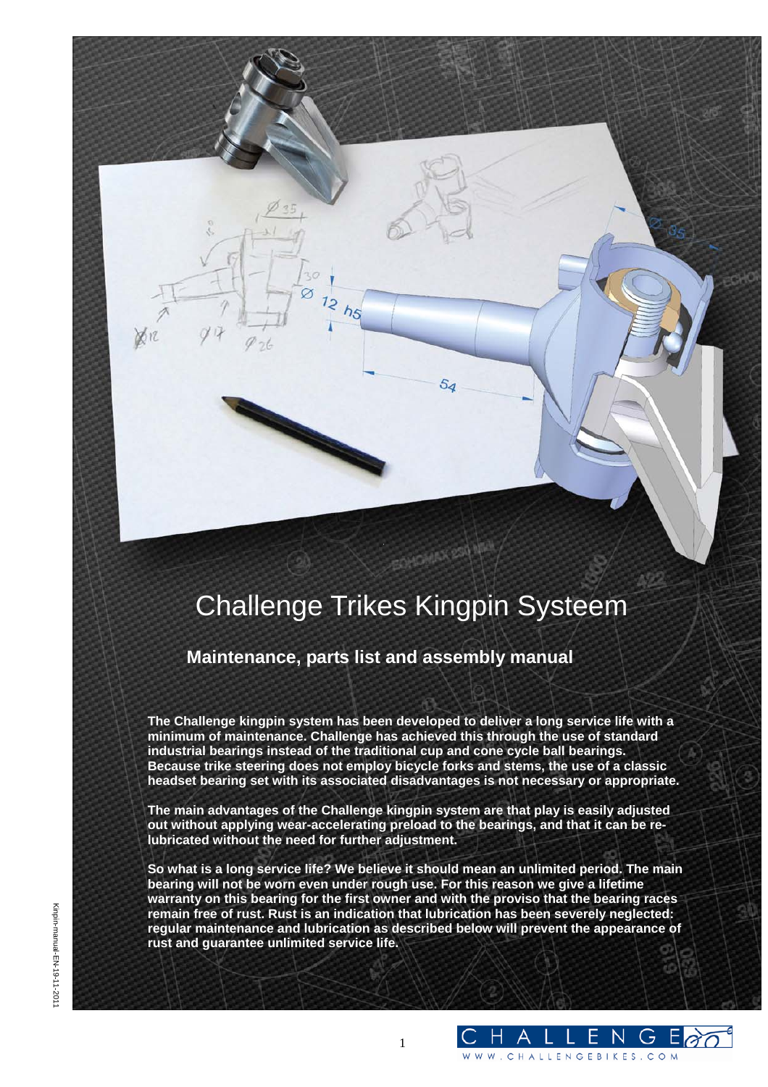# Challenge Trikes Kingpin Systeem

OHOMAX 254

 $54$ 

**Maintenance, parts list and assembly manual** 

**The Challenge kingpin system has been developed to deliver a long service life with a minimum of maintenance. Challenge has achieved this through the use of standard industrial bearings instead of the traditional cup and cone cycle ball bearings. Because trike steering does not employ bicycle forks and stems, the use of a classic headset bearing set with its associated disadvantages is not necessary or appropriate.** 

**The main advantages of the Challenge kingpin system are that play is easily adjusted out without applying wear-accelerating preload to the bearings, and that it can be relubricated without the need for further adjustment.** 

**So what is a long service life? We believe it should mean an unlimited period. The main bearing will not be worn even under rough use. For this reason we give a lifetime warranty on this bearing for the first owner and with the proviso that the bearing races remain free of rust. Rust is an indication that lubrication has been severely neglected: regular maintenance and lubrication as described below will prevent the appearance of rust and guarantee unlimited service life.** 

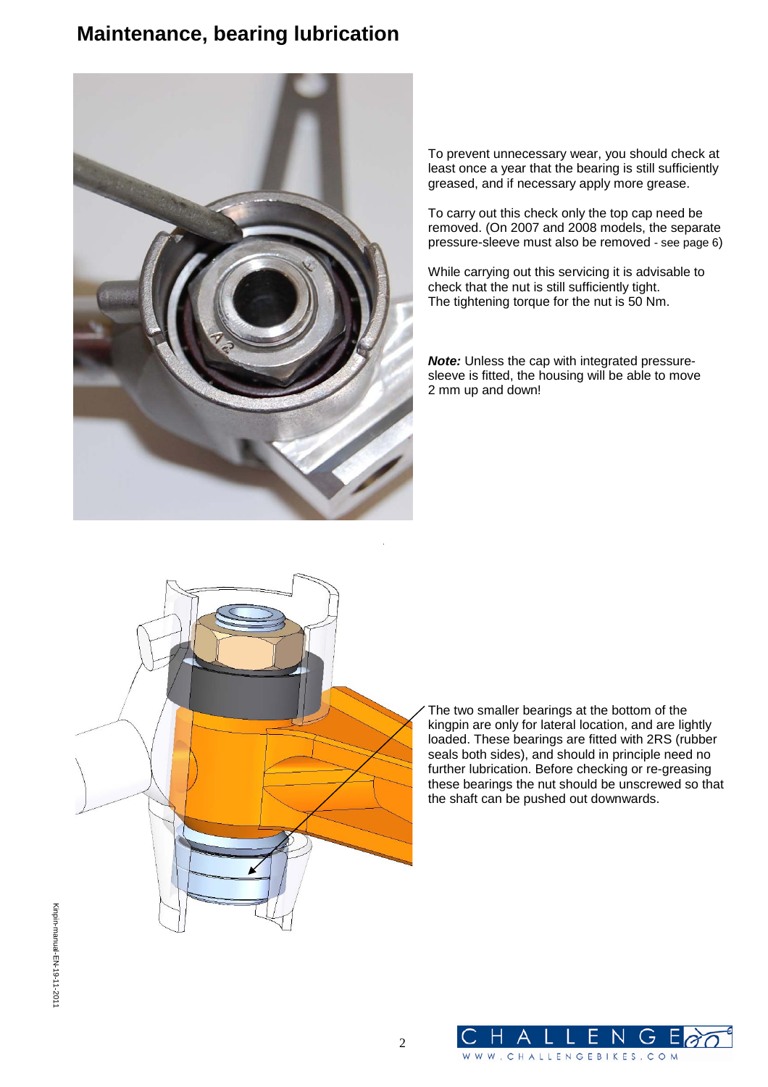### **Maintenance, bearing lubrication**



To prevent unnecessary wear, you should check at least once a year that the bearing is still sufficiently greased, and if necessary apply more grease.

To carry out this check only the top cap need be removed. (On 2007 and 2008 models, the separate pressure-sleeve must also be removed - see page 6)

While carrying out this servicing it is advisable to check that the nut is still sufficiently tight. The tightening torque for the nut is 50 Nm.

*Note:* Unless the cap with integrated pressuresleeve is fitted, the housing will be able to move 2 mm up and down!



The two smaller bearings at the bottom of the kingpin are only for lateral location, and are lightly loaded. These bearings are fitted with 2RS (rubber seals both sides), and should in principle need no further lubrication. Before checking or re-greasing these bearings the nut should be unscrewed so that the shaft can be pushed out downwards.

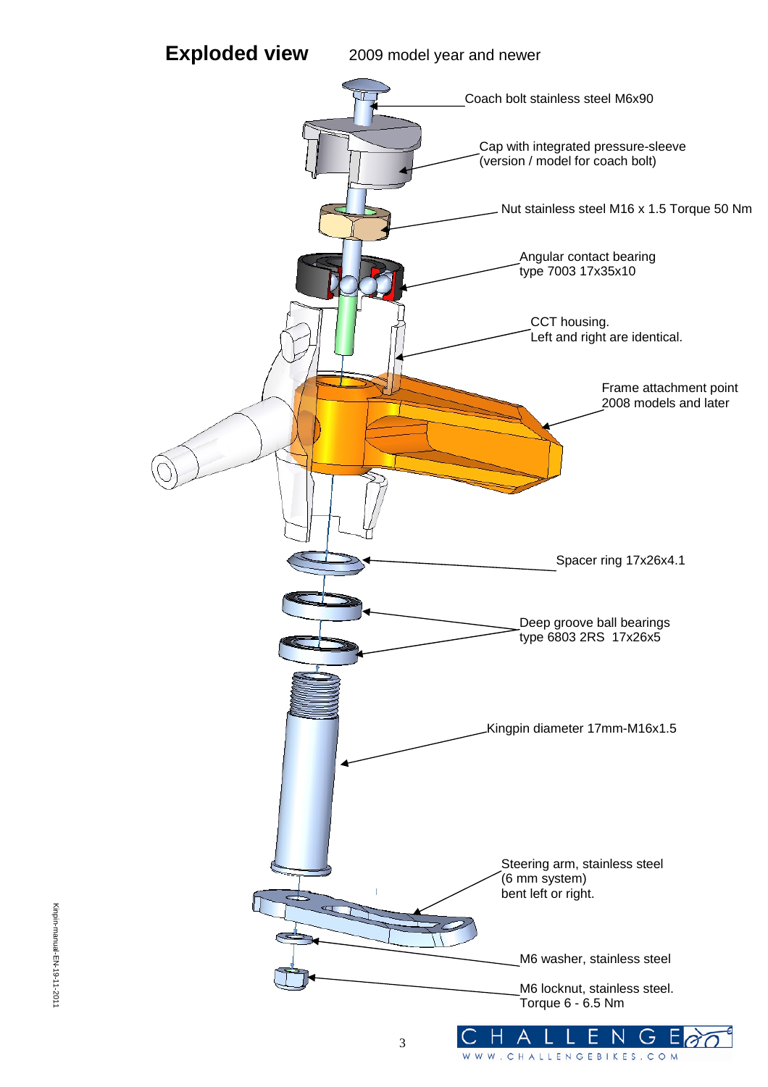**Exploded view** 2009 model year and newer

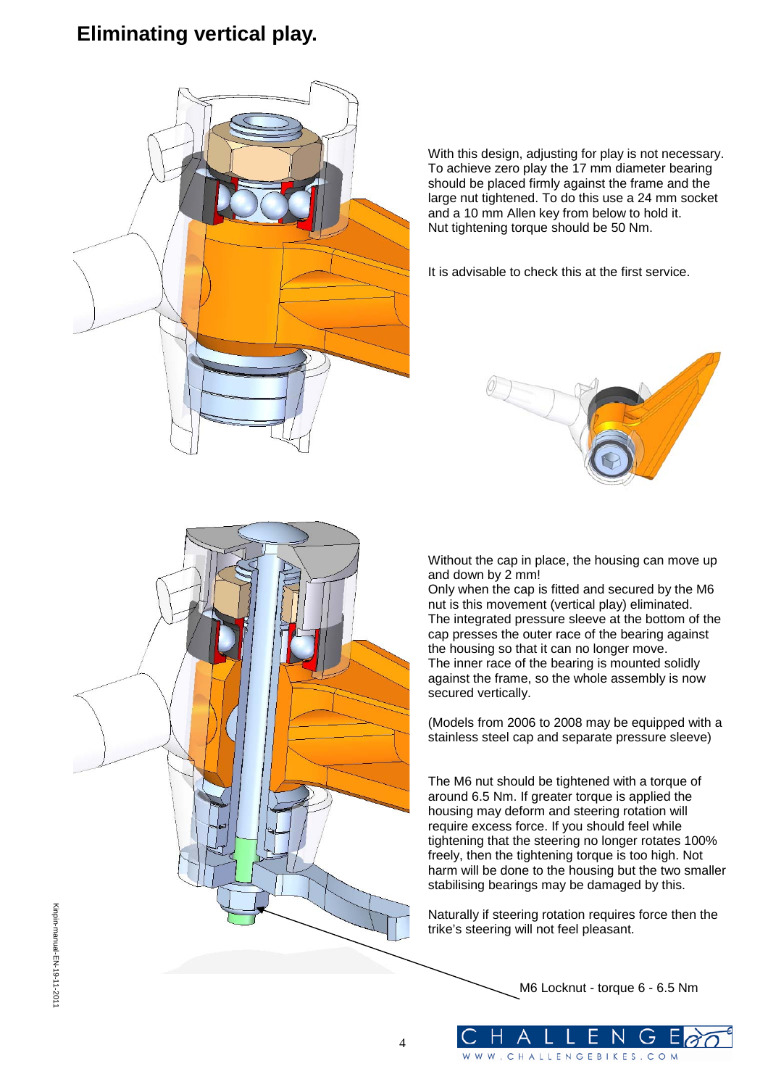## **Eliminating vertical play.**



With this design, adjusting for play is not necessary. To achieve zero play the 17 mm diameter bearing should be placed firmly against the frame and the large nut tightened. To do this use a 24 mm socket and a 10 mm Allen key from below to hold it. Nut tightening torque should be 50 Nm.

It is advisable to check this at the first service.





Without the cap in place, the housing can move up and down by 2 mm!

Only when the cap is fitted and secured by the M6 nut is this movement (vertical play) eliminated. The integrated pressure sleeve at the bottom of the cap presses the outer race of the bearing against the housing so that it can no longer move. The inner race of the bearing is mounted solidly against the frame, so the whole assembly is now secured vertically.

(Models from 2006 to 2008 may be equipped with a stainless steel cap and separate pressure sleeve)

The M6 nut should be tightened with a torque of around 6.5 Nm. If greater torque is applied the housing may deform and steering rotation will require excess force. If you should feel while tightening that the steering no longer rotates 100% freely, then the tightening torque is too high. Not harm will be done to the housing but the two smaller stabilising bearings may be damaged by this.

Naturally if steering rotation requires force then the trike's steering will not feel pleasant.

WW.CHALLENGEBIKES.COM

M6 Locknut - torque 6 - 6.5 Nm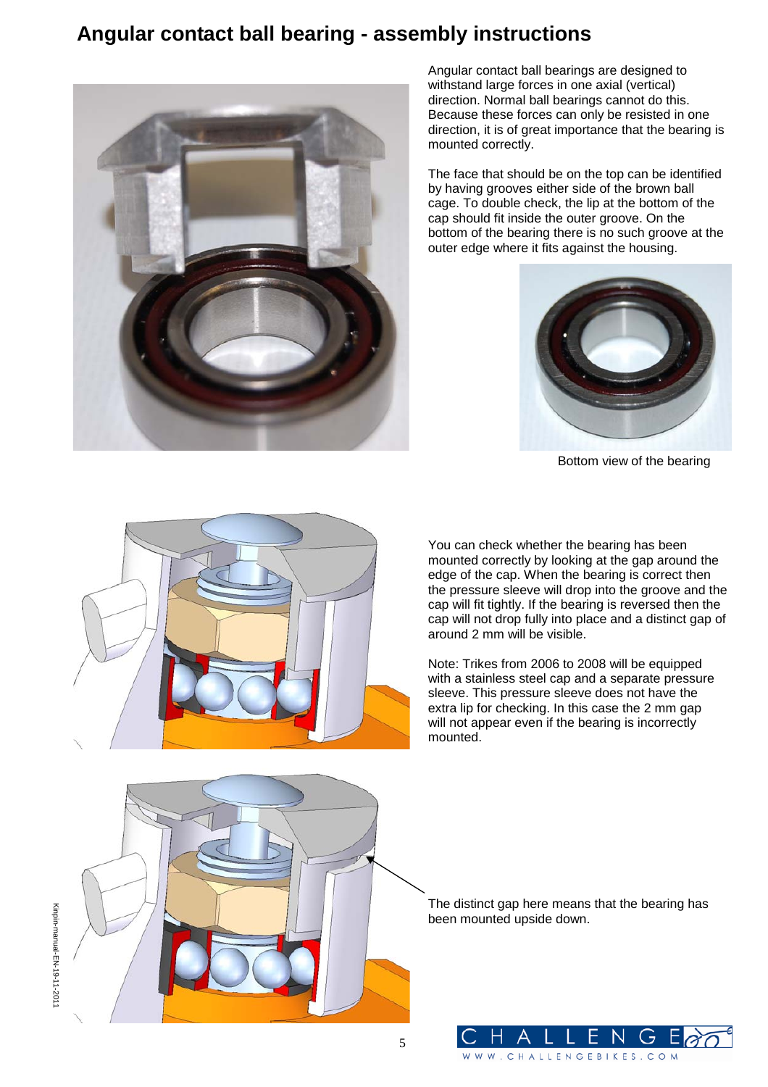### **Angular contact ball bearing - assembly instructions**



Angular contact ball bearings are designed to withstand large forces in one axial (vertical) direction. Normal ball bearings cannot do this. Because these forces can only be resisted in one direction, it is of great importance that the bearing is mounted correctly.

The face that should be on the top can be identified by having grooves either side of the brown ball cage. To double check, the lip at the bottom of the cap should fit inside the outer groove. On the bottom of the bearing there is no such groove at the outer edge where it fits against the housing.



Bottom view of the bearing



You can check whether the bearing has been mounted correctly by looking at the gap around the edge of the cap. When the bearing is correct then the pressure sleeve will drop into the groove and the cap will fit tightly. If the bearing is reversed then the cap will not drop fully into place and a distinct gap of around 2 mm will be visible.

Note: Trikes from 2006 to 2008 will be equipped with a stainless steel cap and a separate pressure sleeve. This pressure sleeve does not have the extra lip for checking. In this case the 2 mm gap will not appear even if the bearing is incorrectly mounted.



5

The distinct gap here means that the bearing has been mounted upside down.

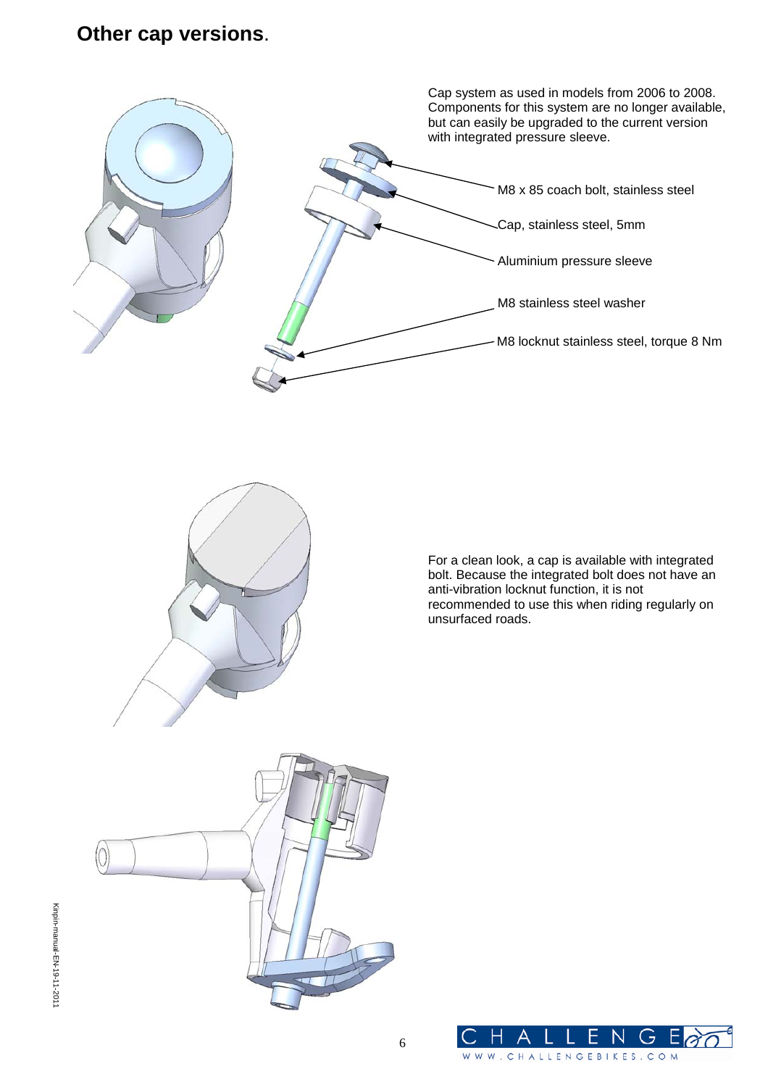#### **Other cap versions**.





For a clean look, a cap is available with integrated bolt. Because the integrated bolt does not have an anti-vibration locknut function, it is not recommended to use this when riding regularly on unsurfaced roads.